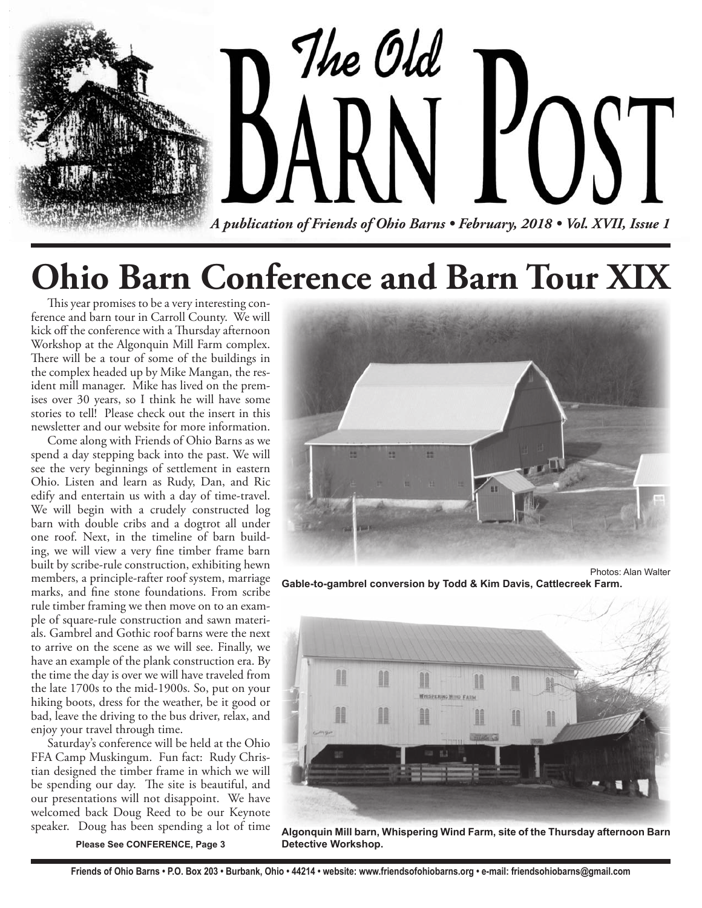

# **Ohio Barn Conference and Barn Tour XIX**

This year promises to be a very interesting conference and barn tour in Carroll County. We will kick off the conference with a Thursday afternoon Workshop at the Algonquin Mill Farm complex. There will be a tour of some of the buildings in the complex headed up by Mike Mangan, the resident mill manager. Mike has lived on the premises over 30 years, so I think he will have some stories to tell! Please check out the insert in this newsletter and our website for more information.

 Come along with Friends of Ohio Barns as we spend a day stepping back into the past. We will see the very beginnings of settlement in eastern Ohio. Listen and learn as Rudy, Dan, and Ric edify and entertain us with a day of time-travel. We will begin with a crudely constructed log barn with double cribs and a dogtrot all under one roof. Next, in the timeline of barn building, we will view a very fine timber frame barn built by scribe-rule construction, exhibiting hewn members, a principle-rafter roof system, marriage marks, and fine stone foundations. From scribe rule timber framing we then move on to an example of square-rule construction and sawn materials. Gambrel and Gothic roof barns were the next to arrive on the scene as we will see. Finally, we have an example of the plank construction era. By the time the day is over we will have traveled from the late 1700s to the mid-1900s. So, put on your hiking boots, dress for the weather, be it good or bad, leave the driving to the bus driver, relax, and enjoy your travel through time.

 Saturday's conference will be held at the Ohio FFA Camp Muskingum. Fun fact: Rudy Christian designed the timber frame in which we will be spending our day. The site is beautiful, and our presentations will not disappoint. We have welcomed back Doug Reed to be our Keynote speaker. Doug has been spending a lot of time

**Please See CONFERENCE, Page 3**



**Gable-to-gambrel conversion by Todd & Kim Davis, Cattlecreek Farm.** 



**Algonquin Mill barn, Whispering Wind Farm, site of the Thursday afternoon Barn Detective Workshop.**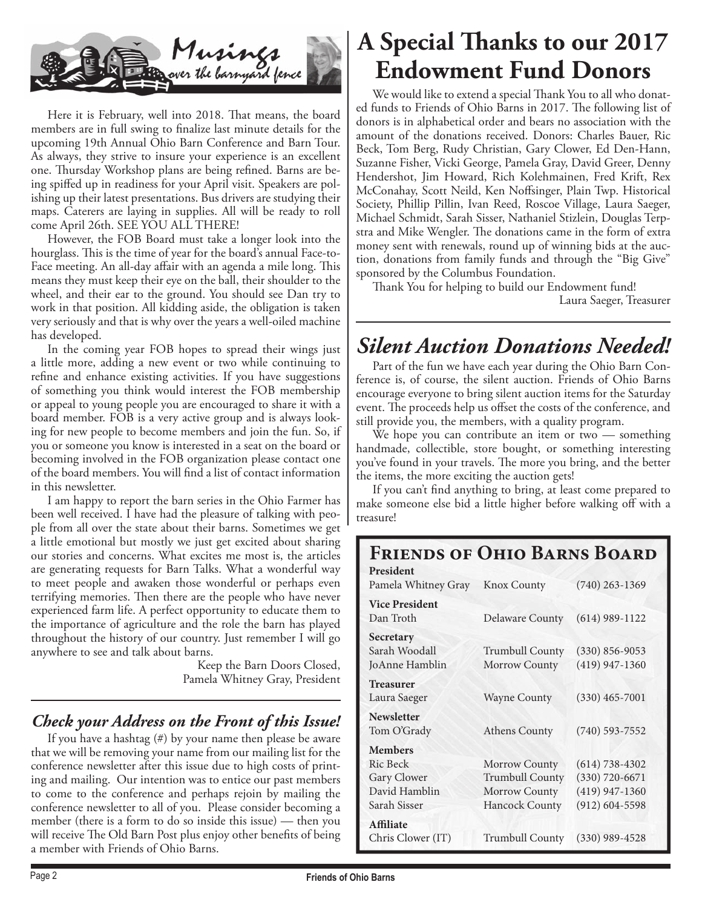

Here it is February, well into 2018. That means, the board members are in full swing to finalize last minute details for the upcoming 19th Annual Ohio Barn Conference and Barn Tour. As always, they strive to insure your experience is an excellent one. Thursday Workshop plans are being refined. Barns are being spiffed up in readiness for your April visit. Speakers are polishing up their latest presentations. Bus drivers are studying their maps. Caterers are laying in supplies. All will be ready to roll come April 26th. SEE YOU ALL THERE!

 However, the FOB Board must take a longer look into the hourglass. This is the time of year for the board's annual Face-to-Face meeting. An all-day affair with an agenda a mile long. This means they must keep their eye on the ball, their shoulder to the wheel, and their ear to the ground. You should see Dan try to work in that position. All kidding aside, the obligation is taken very seriously and that is why over the years a well-oiled machine has developed.

 In the coming year FOB hopes to spread their wings just a little more, adding a new event or two while continuing to refine and enhance existing activities. If you have suggestions of something you think would interest the FOB membership or appeal to young people you are encouraged to share it with a board member. FOB is a very active group and is always looking for new people to become members and join the fun. So, if you or someone you know is interested in a seat on the board or becoming involved in the FOB organization please contact one of the board members. You will find a list of contact information in this newsletter.

 I am happy to report the barn series in the Ohio Farmer has been well received. I have had the pleasure of talking with people from all over the state about their barns. Sometimes we get a little emotional but mostly we just get excited about sharing our stories and concerns. What excites me most is, the articles are generating requests for Barn Talks. What a wonderful way to meet people and awaken those wonderful or perhaps even terrifying memories. Then there are the people who have never experienced farm life. A perfect opportunity to educate them to the importance of agriculture and the role the barn has played throughout the history of our country. Just remember I will go anywhere to see and talk about barns.

> Keep the Barn Doors Closed, Pamela Whitney Gray, President

### *Check your Address on the Front of this Issue!*

 If you have a hashtag (#) by your name then please be aware that we will be removing your name from our mailing list for the conference newsletter after this issue due to high costs of printing and mailing. Our intention was to entice our past members to come to the conference and perhaps rejoin by mailing the conference newsletter to all of you. Please consider becoming a member (there is a form to do so inside this issue) — then you will receive The Old Barn Post plus enjoy other benefits of being a member with Friends of Ohio Barns.

### **A Special Thanks to our 2017 Endowment Fund Donors**

We would like to extend a special Thank You to all who donated funds to Friends of Ohio Barns in 2017. The following list of donors is in alphabetical order and bears no association with the amount of the donations received. Donors: Charles Bauer, Ric Beck, Tom Berg, Rudy Christian, Gary Clower, Ed Den-Hann, Suzanne Fisher, Vicki George, Pamela Gray, David Greer, Denny Hendershot, Jim Howard, Rich Kolehmainen, Fred Krift, Rex McConahay, Scott Neild, Ken Noffsinger, Plain Twp. Historical Society, Phillip Pillin, Ivan Reed, Roscoe Village, Laura Saeger, Michael Schmidt, Sarah Sisser, Nathaniel Stizlein, Douglas Terpstra and Mike Wengler. The donations came in the form of extra money sent with renewals, round up of winning bids at the auction, donations from family funds and through the "Big Give" sponsored by the Columbus Foundation.

Thank You for helping to build our Endowment fund! Laura Saeger, Treasurer

### *Silent Auction Donations Needed!*

 Part of the fun we have each year during the Ohio Barn Conference is, of course, the silent auction. Friends of Ohio Barns encourage everyone to bring silent auction items for the Saturday event. The proceeds help us offset the costs of the conference, and still provide you, the members, with a quality program.

 We hope you can contribute an item or two — something handmade, collectible, store bought, or something interesting you've found in your travels. The more you bring, and the better the items, the more exciting the auction gets!

If you can't find anything to bring, at least come prepared to make someone else bid a little higher before walking off with a treasure!

### **Friends of Ohio Barns Board**

| President<br>Pamela Whitney Gray                                           | <b>Knox County</b>                                                                | $(740)$ 263-1369                                                                   |
|----------------------------------------------------------------------------|-----------------------------------------------------------------------------------|------------------------------------------------------------------------------------|
| <b>Vice President</b><br>Dan Troth                                         | <b>Delaware County</b>                                                            | $(614)$ 989-1122                                                                   |
| Secretary<br>Sarah Woodall<br>JoAnne Hamblin                               | <b>Trumbull County</b><br>Morrow County                                           | $(330) 856 - 9053$<br>$(419)$ 947-1360                                             |
| <b>Treasurer</b><br>Laura Saeger                                           | <b>Wayne County</b>                                                               | $(330)$ 465-7001                                                                   |
| <b>Newsletter</b><br>Tom O'Grady                                           | <b>Athens County</b>                                                              | $(740)$ 593-7552                                                                   |
| <b>Members</b><br>Ric Beck<br>Gary Clower<br>David Hamblin<br>Sarah Sisser | Morrow County<br><b>Trumbull County</b><br>Morrow County<br><b>Hancock County</b> | $(614) 738 - 4302$<br>$(330) 720 - 6671$<br>$(419)$ 947-1360<br>$(912) 604 - 5598$ |
| <b>Affiliate</b><br>Chris Clower (IT)                                      | <b>Trumbull County</b>                                                            | $(330)$ 989-4528                                                                   |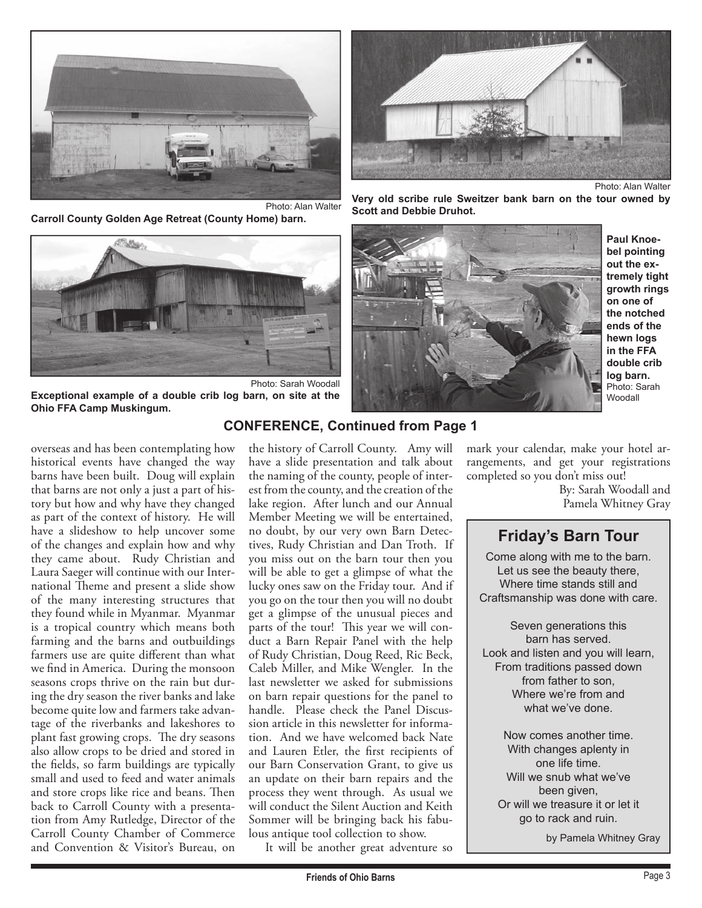

**Carroll County Golden Age Retreat (County Home) barn.** 



Photo: Sarah Woodall **Exceptional example of a double crib log barn, on site at the Ohio FFA Camp Muskingum.** 

overseas and has been contemplating how historical events have changed the way barns have been built. Doug will explain that barns are not only a just a part of history but how and why have they changed as part of the context of history. He will have a slideshow to help uncover some of the changes and explain how and why they came about. Rudy Christian and Laura Saeger will continue with our International Theme and present a slide show of the many interesting structures that they found while in Myanmar. Myanmar is a tropical country which means both farming and the barns and outbuildings farmers use are quite different than what we find in America. During the monsoon seasons crops thrive on the rain but during the dry season the river banks and lake become quite low and farmers take advantage of the riverbanks and lakeshores to plant fast growing crops. The dry seasons also allow crops to be dried and stored in the fields, so farm buildings are typically small and used to feed and water animals and store crops like rice and beans. Then back to Carroll County with a presentation from Amy Rutledge, Director of the Carroll County Chamber of Commerce and Convention & Visitor's Bureau, on

the history of Carroll County. Amy will have a slide presentation and talk about the naming of the county, people of interest from the county, and the creation of the lake region. After lunch and our Annual Member Meeting we will be entertained, no doubt, by our very own Barn Detectives, Rudy Christian and Dan Troth. If you miss out on the barn tour then you will be able to get a glimpse of what the lucky ones saw on the Friday tour. And if you go on the tour then you will no doubt get a glimpse of the unusual pieces and parts of the tour! This year we will conduct a Barn Repair Panel with the help of Rudy Christian, Doug Reed, Ric Beck, Caleb Miller, and Mike Wengler. In the last newsletter we asked for submissions on barn repair questions for the panel to handle. Please check the Panel Discussion article in this newsletter for information. And we have welcomed back Nate and Lauren Etler, the first recipients of our Barn Conservation Grant, to give us an update on their barn repairs and the process they went through. As usual we will conduct the Silent Auction and Keith Sommer will be bringing back his fabulous antique tool collection to show.

It will be another great adventure so



**Very old scribe rule Sweitzer bank barn on the tour owned by Scott and Debbie Druhot.** 



**Paul Knoebel pointing out the extremely tight growth rings on one of the notched ends of the hewn logs in the FFA double crib log barn.**  Photo: Sarah Woodall

### **CONFERENCE, Continued from Page 1**

mark your calendar, make your hotel arrangements, and get your registrations completed so you don't miss out!

By: Sarah Woodall and Pamela Whitney Gray

### **Friday's Barn Tour**

Come along with me to the barn. Let us see the beauty there, Where time stands still and Craftsmanship was done with care.

Seven generations this barn has served. Look and listen and you will learn, From traditions passed down from father to son, Where we're from and what we've done.

Now comes another time. With changes aplenty in one life time. Will we snub what we've been given. Or will we treasure it or let it go to rack and ruin.

by Pamela Whitney Gray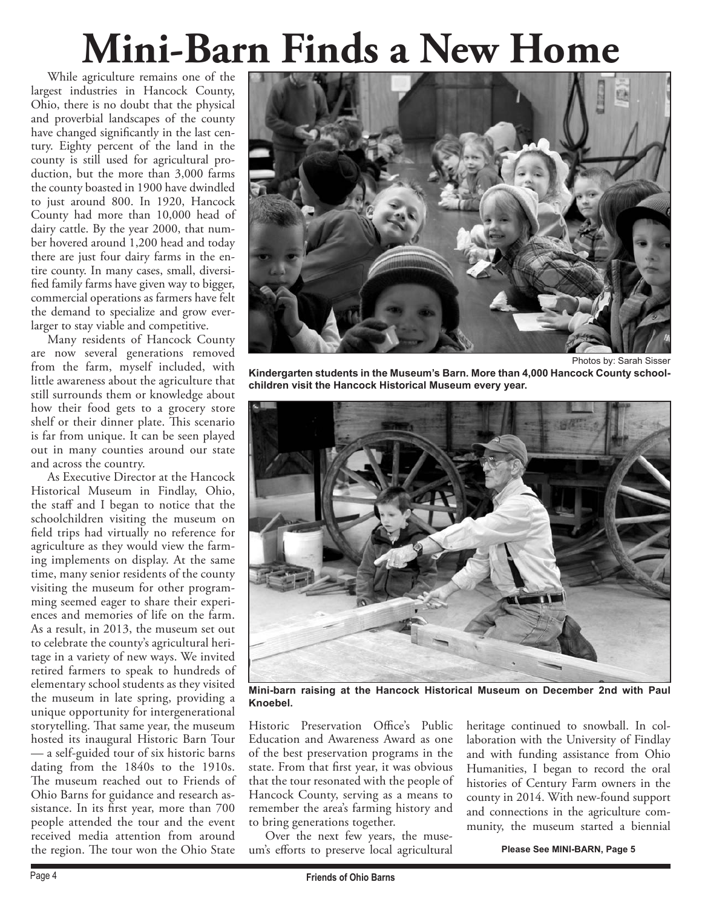# **Mini-Barn Finds a New Home**

 While agriculture remains one of the largest industries in Hancock County, Ohio, there is no doubt that the physical and proverbial landscapes of the county have changed significantly in the last century. Eighty percent of the land in the county is still used for agricultural production, but the more than 3,000 farms the county boasted in 1900 have dwindled to just around 800. In 1920, Hancock County had more than 10,000 head of dairy cattle. By the year 2000, that number hovered around 1,200 head and today there are just four dairy farms in the entire county. In many cases, small, diversified family farms have given way to bigger, commercial operations as farmers have felt the demand to specialize and grow everlarger to stay viable and competitive.

 Many residents of Hancock County are now several generations removed from the farm, myself included, with little awareness about the agriculture that still surrounds them or knowledge about how their food gets to a grocery store shelf or their dinner plate. This scenario is far from unique. It can be seen played out in many counties around our state and across the country.

 As Executive Director at the Hancock Historical Museum in Findlay, Ohio, the staff and I began to notice that the schoolchildren visiting the museum on field trips had virtually no reference for agriculture as they would view the farming implements on display. At the same time, many senior residents of the county visiting the museum for other programming seemed eager to share their experiences and memories of life on the farm. As a result, in 2013, the museum set out to celebrate the county's agricultural heritage in a variety of new ways. We invited retired farmers to speak to hundreds of elementary school students as they visited the museum in late spring, providing a unique opportunity for intergenerational storytelling. That same year, the museum hosted its inaugural Historic Barn Tour — a self-guided tour of six historic barns dating from the 1840s to the 1910s. The museum reached out to Friends of Ohio Barns for guidance and research assistance. In its first year, more than 700 people attended the tour and the event received media attention from around the region. The tour won the Ohio State



Photos by: Sarah Sisser **Kindergarten students in the Museum's Barn. More than 4,000 Hancock County schoolchildren visit the Hancock Historical Museum every year.** 



**Mini-barn raising at the Hancock Historical Museum on December 2nd with Paul Knoebel.** 

Historic Preservation Office's Public Education and Awareness Award as one of the best preservation programs in the state. From that first year, it was obvious that the tour resonated with the people of Hancock County, serving as a means to remember the area's farming history and to bring generations together.

 Over the next few years, the museum's efforts to preserve local agricultural heritage continued to snowball. In collaboration with the University of Findlay and with funding assistance from Ohio Humanities, I began to record the oral histories of Century Farm owners in the county in 2014. With new-found support and connections in the agriculture community, the museum started a biennial

**Please See MINI-BARN, Page 5**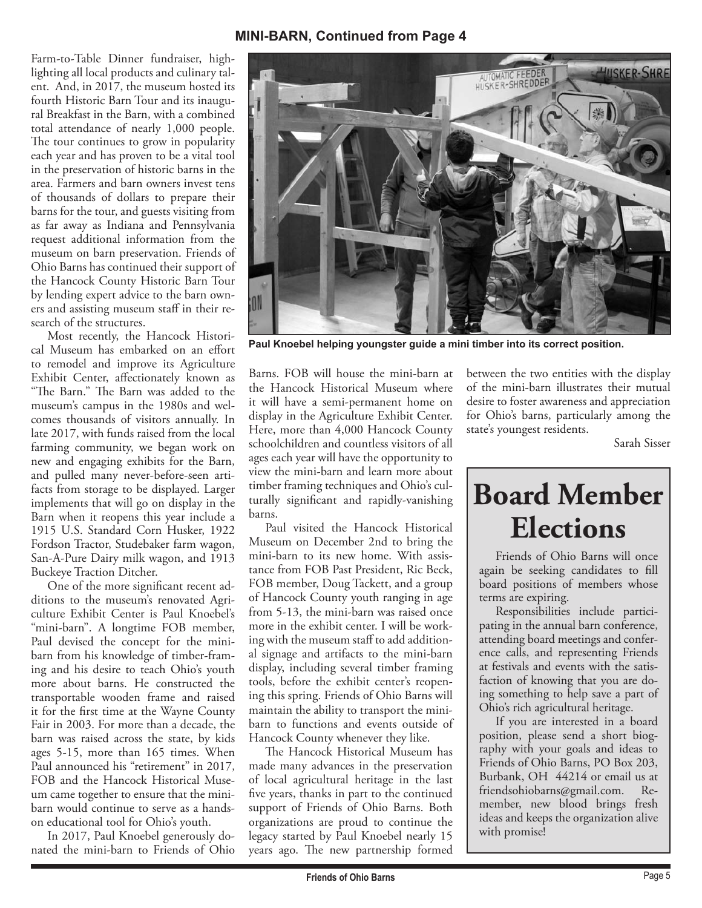#### **MINI-BARN, Continued from Page 4**

Farm-to-Table Dinner fundraiser, highlighting all local products and culinary talent. And, in 2017, the museum hosted its fourth Historic Barn Tour and its inaugural Breakfast in the Barn, with a combined total attendance of nearly 1,000 people. The tour continues to grow in popularity each year and has proven to be a vital tool in the preservation of historic barns in the area. Farmers and barn owners invest tens of thousands of dollars to prepare their barns for the tour, and guests visiting from as far away as Indiana and Pennsylvania request additional information from the museum on barn preservation. Friends of Ohio Barns has continued their support of the Hancock County Historic Barn Tour by lending expert advice to the barn owners and assisting museum staff in their research of the structures.

 Most recently, the Hancock Historical Museum has embarked on an effort to remodel and improve its Agriculture Exhibit Center, affectionately known as "The Barn." The Barn was added to the museum's campus in the 1980s and welcomes thousands of visitors annually. In late 2017, with funds raised from the local farming community, we began work on new and engaging exhibits for the Barn, and pulled many never-before-seen artifacts from storage to be displayed. Larger implements that will go on display in the Barn when it reopens this year include a 1915 U.S. Standard Corn Husker, 1922 Fordson Tractor, Studebaker farm wagon, San-A-Pure Dairy milk wagon, and 1913 Buckeye Traction Ditcher.

 One of the more significant recent additions to the museum's renovated Agriculture Exhibit Center is Paul Knoebel's "mini-barn". A longtime FOB member, Paul devised the concept for the minibarn from his knowledge of timber-framing and his desire to teach Ohio's youth more about barns. He constructed the transportable wooden frame and raised it for the first time at the Wayne County Fair in 2003. For more than a decade, the barn was raised across the state, by kids ages 5-15, more than 165 times. When Paul announced his "retirement" in 2017, FOB and the Hancock Historical Museum came together to ensure that the minibarn would continue to serve as a handson educational tool for Ohio's youth.

 In 2017, Paul Knoebel generously donated the mini-barn to Friends of Ohio

Barns. FOB will house the mini-barn at the Hancock Historical Museum where it will have a semi-permanent home on display in the Agriculture Exhibit Center. Here, more than 4,000 Hancock County schoolchildren and countless visitors of all ages each year will have the opportunity to view the mini-barn and learn more about timber framing techniques and Ohio's culturally significant and rapidly-vanishing barns.

 Paul visited the Hancock Historical Museum on December 2nd to bring the mini-barn to its new home. With assistance from FOB Past President, Ric Beck, FOB member, Doug Tackett, and a group of Hancock County youth ranging in age from 5-13, the mini-barn was raised once more in the exhibit center. I will be working with the museum staff to add additional signage and artifacts to the mini-barn display, including several timber framing tools, before the exhibit center's reopening this spring. Friends of Ohio Barns will maintain the ability to transport the minibarn to functions and events outside of Hancock County whenever they like.

 The Hancock Historical Museum has made many advances in the preservation of local agricultural heritage in the last five years, thanks in part to the continued support of Friends of Ohio Barns. Both organizations are proud to continue the legacy started by Paul Knoebel nearly 15 years ago. The new partnership formed between the two entities with the display of the mini-barn illustrates their mutual desire to foster awareness and appreciation for Ohio's barns, particularly among the state's youngest residents.

Sarah Sisser

# AUTOMATIC FEEDER **HUSKER-SH** ON

**Paul Knoebel helping youngster guide a mini timber into its correct position.** 

## **Board Member Elections**

 Friends of Ohio Barns will once again be seeking candidates to fill board positions of members whose terms are expiring.

 Responsibilities include participating in the annual barn conference, attending board meetings and conference calls, and representing Friends at festivals and events with the satisfaction of knowing that you are doing something to help save a part of Ohio's rich agricultural heritage.

 If you are interested in a board position, please send a short biography with your goals and ideas to Friends of Ohio Barns, PO Box 203, Burbank, OH 44214 or email us at friendsohiobarns@gmail.com. Remember, new blood brings fresh ideas and keeps the organization alive with promise!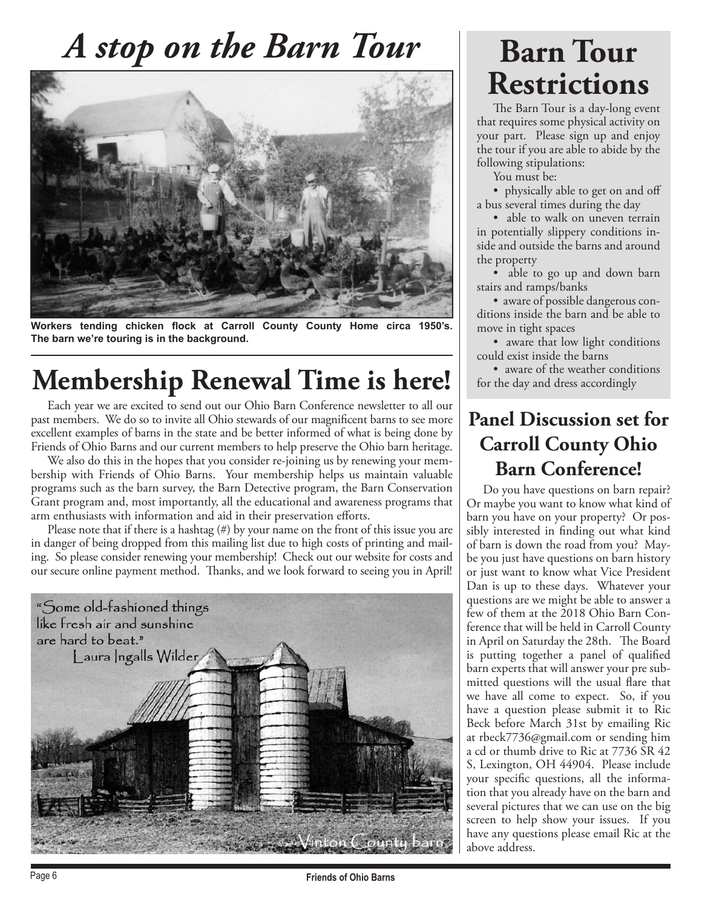## *A stop on the Barn Tour*



**Workers tending chicken flock at Carroll County County Home circa 1950's. The barn we're touring is in the background.**

### **Membership Renewal Time is here!**

 Each year we are excited to send out our Ohio Barn Conference newsletter to all our past members. We do so to invite all Ohio stewards of our magnificent barns to see more excellent examples of barns in the state and be better informed of what is being done by Friends of Ohio Barns and our current members to help preserve the Ohio barn heritage.

 We also do this in the hopes that you consider re-joining us by renewing your membership with Friends of Ohio Barns. Your membership helps us maintain valuable programs such as the barn survey, the Barn Detective program, the Barn Conservation Grant program and, most importantly, all the educational and awareness programs that arm enthusiasts with information and aid in their preservation efforts.

Please note that if there is a hashtag  $(\#)$  by your name on the front of this issue you are in danger of being dropped from this mailing list due to high costs of printing and mailing. So please consider renewing your membership! Check out our website for costs and our secure online payment method. Thanks, and we look forward to seeing you in April!



## **Barn Tour Restrictions**

 The Barn Tour is a day-long event that requires some physical activity on your part. Please sign up and enjoy the tour if you are able to abide by the following stipulations:

You must be:

• physically able to get on and off a bus several times during the day

• able to walk on uneven terrain in potentially slippery conditions inside and outside the barns and around the property

• able to go up and down barn stairs and ramps/banks

 • aware of possible dangerous conditions inside the barn and be able to move in tight spaces

• aware that low light conditions could exist inside the barns

• aware of the weather conditions for the day and dress accordingly

### **Panel Discussion set for Carroll County Ohio Barn Conference!**

 Do you have questions on barn repair? Or maybe you want to know what kind of barn you have on your property? Or possibly interested in finding out what kind of barn is down the road from you? Maybe you just have questions on barn history or just want to know what Vice President Dan is up to these days. Whatever your questions are we might be able to answer a few of them at the 2018 Ohio Barn Conference that will be held in Carroll County in April on Saturday the 28th. The Board is putting together a panel of qualified barn experts that will answer your pre submitted questions will the usual flare that we have all come to expect. So, if you have a question please submit it to Ric Beck before March 31st by emailing Ric at rbeck7736@gmail.com or sending him a cd or thumb drive to Ric at 7736 SR 42 S, Lexington, OH 44904. Please include your specific questions, all the information that you already have on the barn and several pictures that we can use on the big screen to help show your issues. If you have any questions please email Ric at the above address.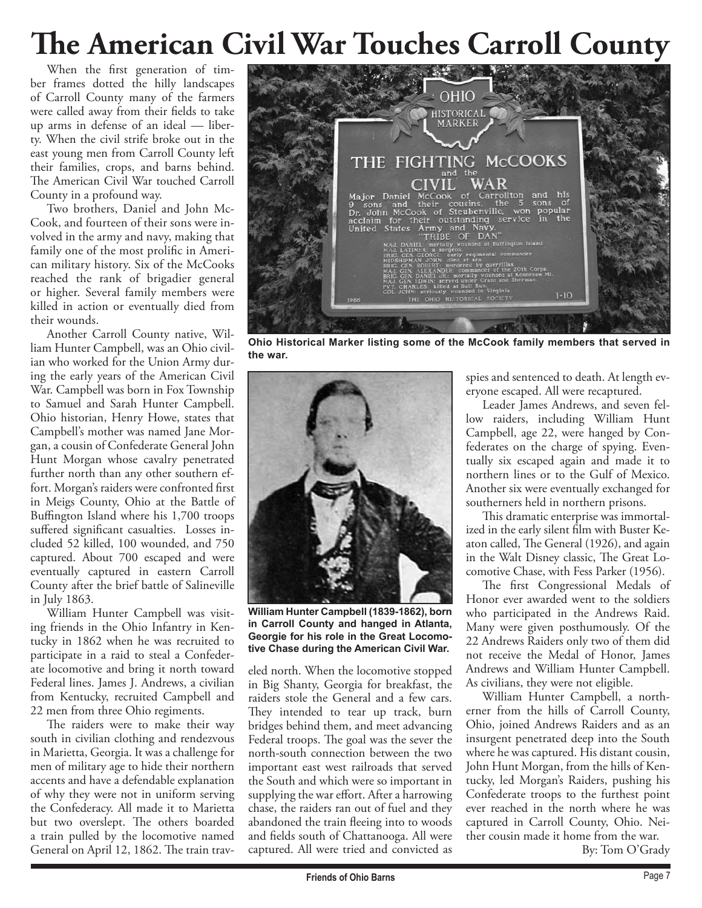## **The American Civil War Touches Carroll County**

 When the first generation of timber frames dotted the hilly landscapes of Carroll County many of the farmers were called away from their fields to take up arms in defense of an ideal — liberty. When the civil strife broke out in the east young men from Carroll County left their families, crops, and barns behind. The American Civil War touched Carroll County in a profound way.

 Two brothers, Daniel and John Mc-Cook, and fourteen of their sons were involved in the army and navy, making that family one of the most prolific in American military history. Six of the McCooks reached the rank of brigadier general or higher. Several family members were killed in action or eventually died from their wounds.

 Another Carroll County native, William Hunter Campbell, was an Ohio civilian who worked for the Union Army during the early years of the American Civil War. Campbell was born in Fox Township to Samuel and Sarah Hunter Campbell. Ohio historian, Henry Howe, states that Campbell's mother was named Jane Morgan, a cousin of Confederate General John Hunt Morgan whose cavalry penetrated further north than any other southern effort. Morgan's raiders were confronted first in Meigs County, Ohio at the Battle of Buffington Island where his 1,700 troops suffered significant casualties. Losses included 52 killed, 100 wounded, and 750 captured. About 700 escaped and were eventually captured in eastern Carroll County after the brief battle of Salineville in July 1863.

 William Hunter Campbell was visiting friends in the Ohio Infantry in Kentucky in 1862 when he was recruited to participate in a raid to steal a Confederate locomotive and bring it north toward Federal lines. James J. Andrews, a civilian from Kentucky, recruited Campbell and 22 men from three Ohio regiments.

 The raiders were to make their way south in civilian clothing and rendezvous in Marietta, Georgia. It was a challenge for men of military age to hide their northern accents and have a defendable explanation of why they were not in uniform serving the Confederacy. All made it to Marietta but two overslept. The others boarded a train pulled by the locomotive named General on April 12, 1862. The train trav-



**Ohio Historical Marker listing some of the McCook family members that served in the war.**



**William Hunter Campbell (1839-1862), born in Carroll County and hanged in Atlanta, Georgie for his role in the Great Locomotive Chase during the American Civil War.**

eled north. When the locomotive stopped in Big Shanty, Georgia for breakfast, the raiders stole the General and a few cars. They intended to tear up track, burn bridges behind them, and meet advancing Federal troops. The goal was the sever the north-south connection between the two important east west railroads that served the South and which were so important in supplying the war effort. After a harrowing chase, the raiders ran out of fuel and they abandoned the train fleeing into to woods and fields south of Chattanooga. All were captured. All were tried and convicted as

spies and sentenced to death. At length everyone escaped. All were recaptured.

 Leader James Andrews, and seven fellow raiders, including William Hunt Campbell, age 22, were hanged by Confederates on the charge of spying. Eventually six escaped again and made it to northern lines or to the Gulf of Mexico. Another six were eventually exchanged for southerners held in northern prisons.

 This dramatic enterprise was immortalized in the early silent film with Buster Keaton called, The General (1926), and again in the Walt Disney classic, The Great Locomotive Chase, with Fess Parker (1956).

 The first Congressional Medals of Honor ever awarded went to the soldiers who participated in the Andrews Raid. Many were given posthumously. Of the 22 Andrews Raiders only two of them did not receive the Medal of Honor, James Andrews and William Hunter Campbell. As civilians, they were not eligible.

 William Hunter Campbell, a northerner from the hills of Carroll County, Ohio, joined Andrews Raiders and as an insurgent penetrated deep into the South where he was captured. His distant cousin, John Hunt Morgan, from the hills of Kentucky, led Morgan's Raiders, pushing his Confederate troops to the furthest point ever reached in the north where he was captured in Carroll County, Ohio. Neither cousin made it home from the war.

By: Tom O'Grady